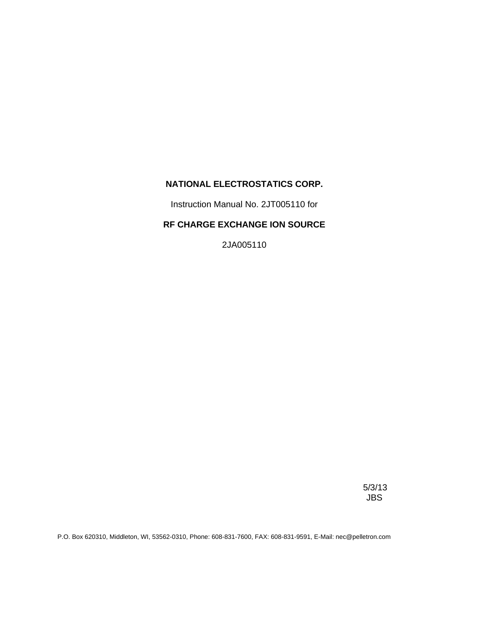## **NATIONAL ELECTROSTATICS CORP.**

Instruction Manual No. 2JT005110 for

## **RF CHARGE EXCHANGE ION SOURCE**

2JA005110

 5/3/13 JBS

P.O. Box 620310, Middleton, WI, 53562-0310, Phone: 608-831-7600, FAX: 608-831-9591, E-Mail: nec@pelletron.com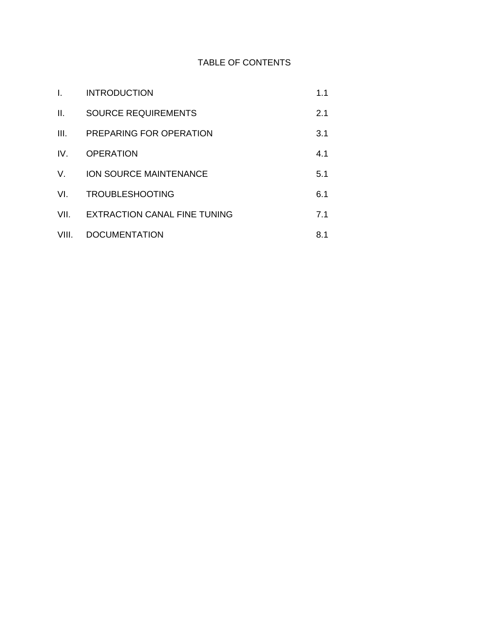## TABLE OF CONTENTS

| Τ.              | <b>INTRODUCTION</b>                 | 1.1 |
|-----------------|-------------------------------------|-----|
| $\mathbf{II}$ . | <b>SOURCE REQUIREMENTS</b>          | 2.1 |
| III.            | PREPARING FOR OPERATION             | 3.1 |
| IV.             | <b>OPERATION</b>                    | 4.1 |
| V.              | <b>ION SOURCE MAINTENANCE</b>       | 5.1 |
| VL.             | <b>TROUBLESHOOTING</b>              | 6.1 |
| VII.            | <b>EXTRACTION CANAL FINE TUNING</b> | 7.1 |
| VIII.           | <b>DOCUMENTATION</b>                | 8.1 |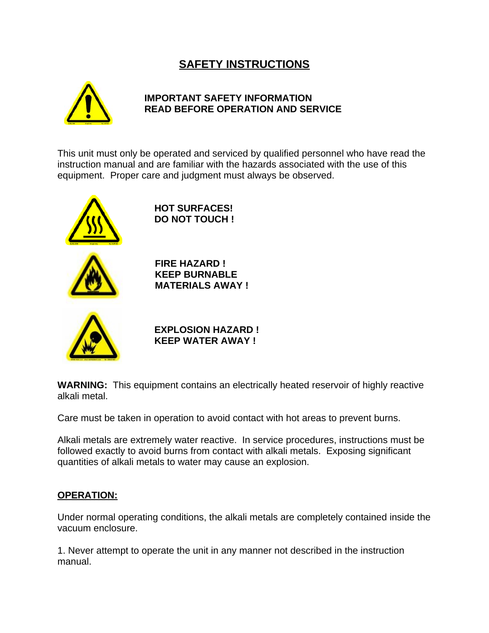# **SAFETY INSTRUCTIONS**



## **IMPORTANT SAFETY INFORMATION READ BEFORE OPERATION AND SERVICE**

This unit must only be operated and serviced by qualified personnel who have read the instruction manual and are familiar with the hazards associated with the use of this equipment. Proper care and judgment must always be observed.



**HOT SURFACES! DO NOT TOUCH !**



**FIRE HAZARD ! KEEP BURNABLE MATERIALS AWAY !**



**EXPLOSION HAZARD ! KEEP WATER AWAY !**

**WARNING:** This equipment contains an electrically heated reservoir of highly reactive alkali metal.

Care must be taken in operation to avoid contact with hot areas to prevent burns.

Alkali metals are extremely water reactive. In service procedures, instructions must be followed exactly to avoid burns from contact with alkali metals. Exposing significant quantities of alkali metals to water may cause an explosion.

## **OPERATION:**

Under normal operating conditions, the alkali metals are completely contained inside the vacuum enclosure.

1. Never attempt to operate the unit in any manner not described in the instruction manual.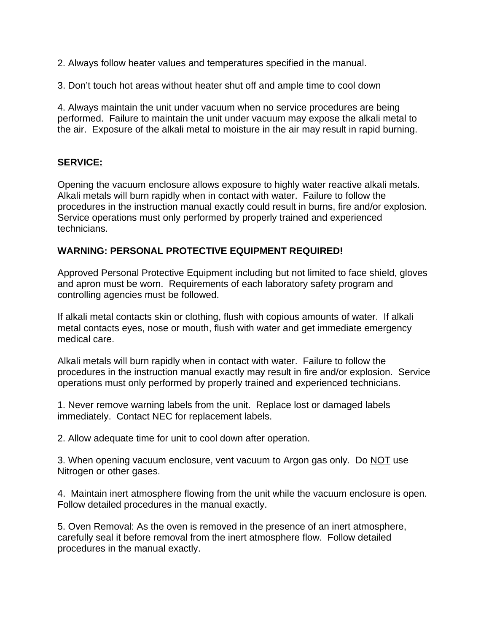2. Always follow heater values and temperatures specified in the manual.

3. Don't touch hot areas without heater shut off and ample time to cool down

4. Always maintain the unit under vacuum when no service procedures are being performed. Failure to maintain the unit under vacuum may expose the alkali metal to the air. Exposure of the alkali metal to moisture in the air may result in rapid burning.

## **SERVICE:**

Opening the vacuum enclosure allows exposure to highly water reactive alkali metals. Alkali metals will burn rapidly when in contact with water. Failure to follow the procedures in the instruction manual exactly could result in burns, fire and/or explosion. Service operations must only performed by properly trained and experienced technicians.

## **WARNING: PERSONAL PROTECTIVE EQUIPMENT REQUIRED!**

Approved Personal Protective Equipment including but not limited to face shield, gloves and apron must be worn. Requirements of each laboratory safety program and controlling agencies must be followed.

If alkali metal contacts skin or clothing, flush with copious amounts of water. If alkali metal contacts eyes, nose or mouth, flush with water and get immediate emergency medical care.

Alkali metals will burn rapidly when in contact with water. Failure to follow the procedures in the instruction manual exactly may result in fire and/or explosion. Service operations must only performed by properly trained and experienced technicians.

1. Never remove warning labels from the unit. Replace lost or damaged labels immediately. Contact NEC for replacement labels.

2. Allow adequate time for unit to cool down after operation.

3. When opening vacuum enclosure, vent vacuum to Argon gas only. Do NOT use Nitrogen or other gases.

4. Maintain inert atmosphere flowing from the unit while the vacuum enclosure is open. Follow detailed procedures in the manual exactly.

5. Oven Removal: As the oven is removed in the presence of an inert atmosphere, carefully seal it before removal from the inert atmosphere flow. Follow detailed procedures in the manual exactly.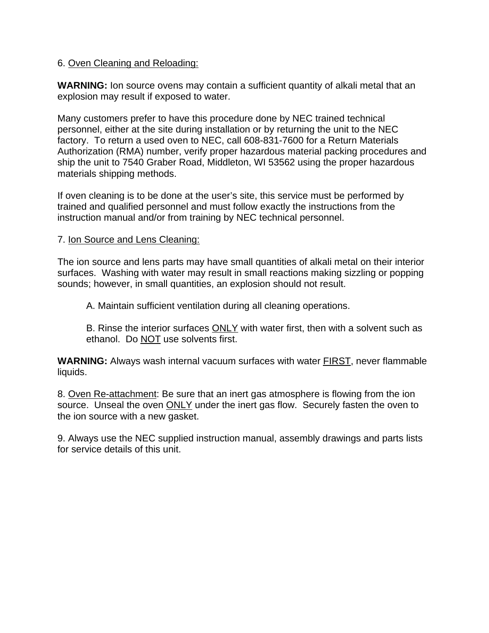## 6. Oven Cleaning and Reloading:

**WARNING:** Ion source ovens may contain a sufficient quantity of alkali metal that an explosion may result if exposed to water.

Many customers prefer to have this procedure done by NEC trained technical personnel, either at the site during installation or by returning the unit to the NEC factory. To return a used oven to NEC, call 608-831-7600 for a Return Materials Authorization (RMA) number, verify proper hazardous material packing procedures and ship the unit to 7540 Graber Road, Middleton, WI 53562 using the proper hazardous materials shipping methods.

If oven cleaning is to be done at the user's site, this service must be performed by trained and qualified personnel and must follow exactly the instructions from the instruction manual and/or from training by NEC technical personnel.

## 7. Ion Source and Lens Cleaning:

The ion source and lens parts may have small quantities of alkali metal on their interior surfaces. Washing with water may result in small reactions making sizzling or popping sounds; however, in small quantities, an explosion should not result.

A. Maintain sufficient ventilation during all cleaning operations.

B. Rinse the interior surfaces ONLY with water first, then with a solvent such as ethanol. Do NOT use solvents first.

**WARNING:** Always wash internal vacuum surfaces with water FIRST, never flammable liquids.

8. Oven Re-attachment: Be sure that an inert gas atmosphere is flowing from the ion source. Unseal the oven **ONLY** under the inert gas flow. Securely fasten the oven to the ion source with a new gasket.

9. Always use the NEC supplied instruction manual, assembly drawings and parts lists for service details of this unit.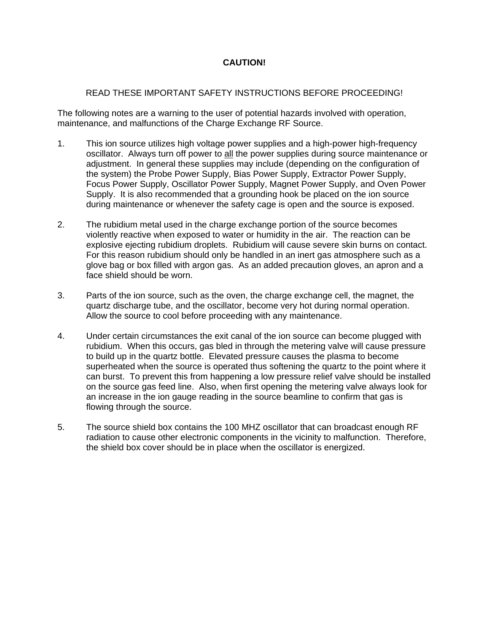## **CAUTION!**

## READ THESE IMPORTANT SAFETY INSTRUCTIONS BEFORE PROCEEDING!

The following notes are a warning to the user of potential hazards involved with operation, maintenance, and malfunctions of the Charge Exchange RF Source.

- 1. This ion source utilizes high voltage power supplies and a high-power high-frequency oscillator. Always turn off power to all the power supplies during source maintenance or adjustment. In general these supplies may include (depending on the configuration of the system) the Probe Power Supply, Bias Power Supply, Extractor Power Supply, Focus Power Supply, Oscillator Power Supply, Magnet Power Supply, and Oven Power Supply. It is also recommended that a grounding hook be placed on the ion source during maintenance or whenever the safety cage is open and the source is exposed.
- 2. The rubidium metal used in the charge exchange portion of the source becomes violently reactive when exposed to water or humidity in the air. The reaction can be explosive ejecting rubidium droplets. Rubidium will cause severe skin burns on contact. For this reason rubidium should only be handled in an inert gas atmosphere such as a glove bag or box filled with argon gas. As an added precaution gloves, an apron and a face shield should be worn.
- 3. Parts of the ion source, such as the oven, the charge exchange cell, the magnet, the quartz discharge tube, and the oscillator, become very hot during normal operation. Allow the source to cool before proceeding with any maintenance.
- 4. Under certain circumstances the exit canal of the ion source can become plugged with rubidium. When this occurs, gas bled in through the metering valve will cause pressure to build up in the quartz bottle. Elevated pressure causes the plasma to become superheated when the source is operated thus softening the quartz to the point where it can burst. To prevent this from happening a low pressure relief valve should be installed on the source gas feed line. Also, when first opening the metering valve always look for an increase in the ion gauge reading in the source beamline to confirm that gas is flowing through the source.
- 5. The source shield box contains the 100 MHZ oscillator that can broadcast enough RF radiation to cause other electronic components in the vicinity to malfunction. Therefore, the shield box cover should be in place when the oscillator is energized.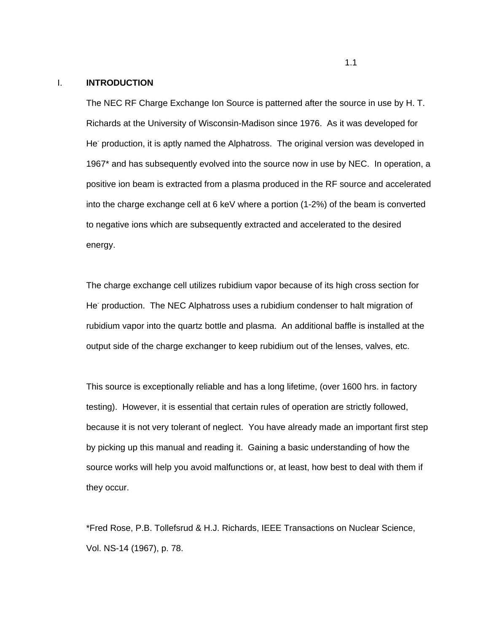#### I. **INTRODUCTION**

The NEC RF Charge Exchange Ion Source is patterned after the source in use by H. T. Richards at the University of Wisconsin-Madison since 1976. As it was developed for He production, it is aptly named the Alphatross. The original version was developed in 1967\* and has subsequently evolved into the source now in use by NEC. In operation, a positive ion beam is extracted from a plasma produced in the RF source and accelerated into the charge exchange cell at 6 keV where a portion (1-2%) of the beam is converted to negative ions which are subsequently extracted and accelerated to the desired energy.

The charge exchange cell utilizes rubidium vapor because of its high cross section for He<sup>-</sup> production. The NEC Alphatross uses a rubidium condenser to halt migration of rubidium vapor into the quartz bottle and plasma. An additional baffle is installed at the output side of the charge exchanger to keep rubidium out of the lenses, valves, etc.

This source is exceptionally reliable and has a long lifetime, (over 1600 hrs. in factory testing). However, it is essential that certain rules of operation are strictly followed, because it is not very tolerant of neglect. You have already made an important first step by picking up this manual and reading it. Gaining a basic understanding of how the source works will help you avoid malfunctions or, at least, how best to deal with them if they occur.

\*Fred Rose, P.B. Tollefsrud & H.J. Richards, IEEE Transactions on Nuclear Science, Vol. NS-14 (1967), p. 78.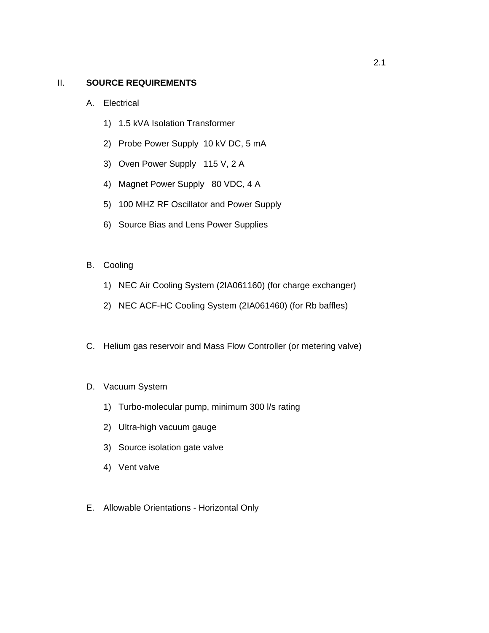## II. **SOURCE REQUIREMENTS**

- A. Electrical
	- 1) 1.5 kVA Isolation Transformer
	- 2) Probe Power Supply 10 kV DC, 5 mA
	- 3) Oven Power Supply 115 V, 2 A
	- 4) Magnet Power Supply 80 VDC, 4 A
	- 5) 100 MHZ RF Oscillator and Power Supply
	- 6) Source Bias and Lens Power Supplies
- B. Cooling
	- 1) NEC Air Cooling System (2IA061160) (for charge exchanger)
	- 2) NEC ACF-HC Cooling System (2IA061460) (for Rb baffles)
- C. Helium gas reservoir and Mass Flow Controller (or metering valve)
- D. Vacuum System
	- 1) Turbo-molecular pump, minimum 300 l/s rating
	- 2) Ultra-high vacuum gauge
	- 3) Source isolation gate valve
	- 4) Vent valve
- E. Allowable Orientations Horizontal Only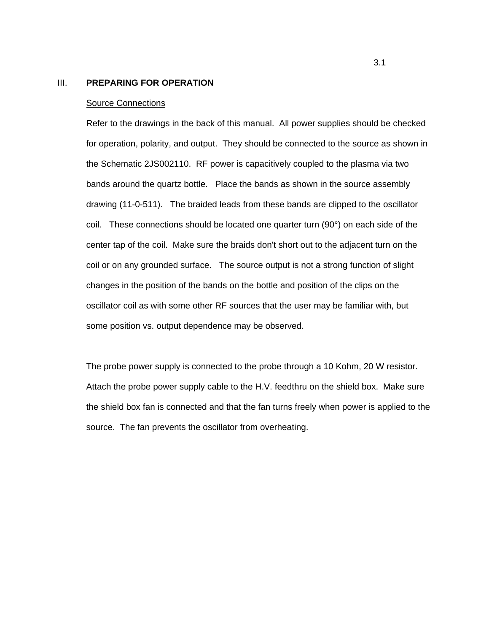#### III. **PREPARING FOR OPERATION**

#### Source Connections

Refer to the drawings in the back of this manual. All power supplies should be checked for operation, polarity, and output. They should be connected to the source as shown in the Schematic 2JS002110. RF power is capacitively coupled to the plasma via two bands around the quartz bottle. Place the bands as shown in the source assembly drawing (11-0-511). The braided leads from these bands are clipped to the oscillator coil. These connections should be located one quarter turn (90°) on each side of the center tap of the coil. Make sure the braids don't short out to the adjacent turn on the coil or on any grounded surface. The source output is not a strong function of slight changes in the position of the bands on the bottle and position of the clips on the oscillator coil as with some other RF sources that the user may be familiar with, but some position vs. output dependence may be observed.

The probe power supply is connected to the probe through a 10 Kohm, 20 W resistor. Attach the probe power supply cable to the H.V. feedthru on the shield box. Make sure the shield box fan is connected and that the fan turns freely when power is applied to the source. The fan prevents the oscillator from overheating.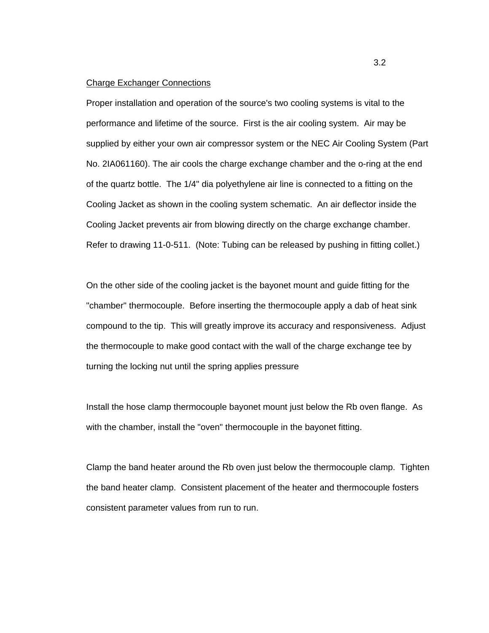### Charge Exchanger Connections

Proper installation and operation of the source's two cooling systems is vital to the performance and lifetime of the source. First is the air cooling system. Air may be supplied by either your own air compressor system or the NEC Air Cooling System (Part No. 2IA061160). The air cools the charge exchange chamber and the o-ring at the end of the quartz bottle. The 1/4" dia polyethylene air line is connected to a fitting on the Cooling Jacket as shown in the cooling system schematic. An air deflector inside the Cooling Jacket prevents air from blowing directly on the charge exchange chamber. Refer to drawing 11-0-511. (Note: Tubing can be released by pushing in fitting collet.)

On the other side of the cooling jacket is the bayonet mount and guide fitting for the "chamber" thermocouple. Before inserting the thermocouple apply a dab of heat sink compound to the tip. This will greatly improve its accuracy and responsiveness. Adjust the thermocouple to make good contact with the wall of the charge exchange tee by turning the locking nut until the spring applies pressure

Install the hose clamp thermocouple bayonet mount just below the Rb oven flange. As with the chamber, install the "oven" thermocouple in the bayonet fitting.

Clamp the band heater around the Rb oven just below the thermocouple clamp. Tighten the band heater clamp. Consistent placement of the heater and thermocouple fosters consistent parameter values from run to run.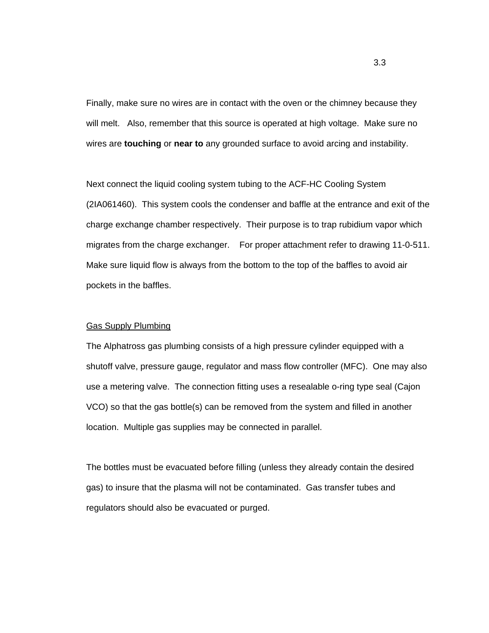Finally, make sure no wires are in contact with the oven or the chimney because they will melt. Also, remember that this source is operated at high voltage. Make sure no wires are **touching** or **near to** any grounded surface to avoid arcing and instability.

Next connect the liquid cooling system tubing to the ACF-HC Cooling System (2IA061460). This system cools the condenser and baffle at the entrance and exit of the charge exchange chamber respectively. Their purpose is to trap rubidium vapor which migrates from the charge exchanger. For proper attachment refer to drawing 11-0-511. Make sure liquid flow is always from the bottom to the top of the baffles to avoid air pockets in the baffles.

#### Gas Supply Plumbing

The Alphatross gas plumbing consists of a high pressure cylinder equipped with a shutoff valve, pressure gauge, regulator and mass flow controller (MFC). One may also use a metering valve. The connection fitting uses a resealable o-ring type seal (Cajon VCO) so that the gas bottle(s) can be removed from the system and filled in another location. Multiple gas supplies may be connected in parallel.

The bottles must be evacuated before filling (unless they already contain the desired gas) to insure that the plasma will not be contaminated. Gas transfer tubes and regulators should also be evacuated or purged.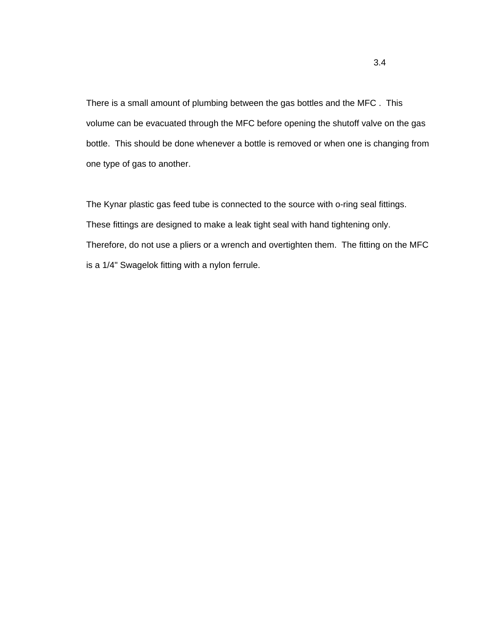There is a small amount of plumbing between the gas bottles and the MFC . This volume can be evacuated through the MFC before opening the shutoff valve on the gas bottle. This should be done whenever a bottle is removed or when one is changing from one type of gas to another.

The Kynar plastic gas feed tube is connected to the source with o-ring seal fittings. These fittings are designed to make a leak tight seal with hand tightening only. Therefore, do not use a pliers or a wrench and overtighten them. The fitting on the MFC is a 1/4" Swagelok fitting with a nylon ferrule.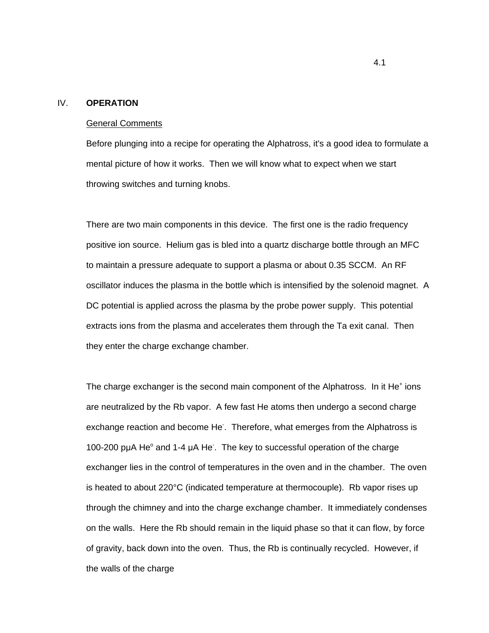## IV. **OPERATION**

#### General Comments

Before plunging into a recipe for operating the Alphatross, it's a good idea to formulate a mental picture of how it works. Then we will know what to expect when we start throwing switches and turning knobs.

There are two main components in this device. The first one is the radio frequency positive ion source. Helium gas is bled into a quartz discharge bottle through an MFC to maintain a pressure adequate to support a plasma or about 0.35 SCCM. An RF oscillator induces the plasma in the bottle which is intensified by the solenoid magnet. A DC potential is applied across the plasma by the probe power supply. This potential extracts ions from the plasma and accelerates them through the Ta exit canal. Then they enter the charge exchange chamber.

The charge exchanger is the second main component of the Alphatross. In it He<sup>+</sup> ions are neutralized by the Rb vapor. A few fast He atoms then undergo a second charge exchange reaction and become He. Therefore, what emerges from the Alphatross is 100-200 puA He° and 1-4 uA He. The key to successful operation of the charge exchanger lies in the control of temperatures in the oven and in the chamber. The oven is heated to about 220°C (indicated temperature at thermocouple). Rb vapor rises up through the chimney and into the charge exchange chamber. It immediately condenses on the walls. Here the Rb should remain in the liquid phase so that it can flow, by force of gravity, back down into the oven. Thus, the Rb is continually recycled. However, if the walls of the charge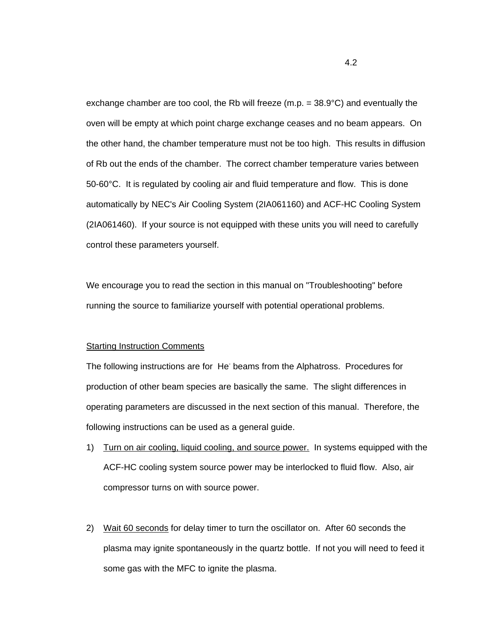exchange chamber are too cool, the Rb will freeze  $(m.p. = 38.9^{\circ}C)$  and eventually the oven will be empty at which point charge exchange ceases and no beam appears. On the other hand, the chamber temperature must not be too high. This results in diffusion of Rb out the ends of the chamber. The correct chamber temperature varies between 50-60°C. It is regulated by cooling air and fluid temperature and flow. This is done automatically by NEC's Air Cooling System (2IA061160) and ACF-HC Cooling System (2IA061460). If your source is not equipped with these units you will need to carefully control these parameters yourself.

We encourage you to read the section in this manual on "Troubleshooting" before running the source to familiarize yourself with potential operational problems.

#### Starting Instruction Comments

The following instructions are for He- beams from the Alphatross. Procedures for production of other beam species are basically the same. The slight differences in operating parameters are discussed in the next section of this manual. Therefore, the following instructions can be used as a general guide.

- 1) Turn on air cooling, liquid cooling, and source power. In systems equipped with the ACF-HC cooling system source power may be interlocked to fluid flow. Also, air compressor turns on with source power.
- 2) Wait 60 seconds for delay timer to turn the oscillator on. After 60 seconds the plasma may ignite spontaneously in the quartz bottle. If not you will need to feed it some gas with the MFC to ignite the plasma.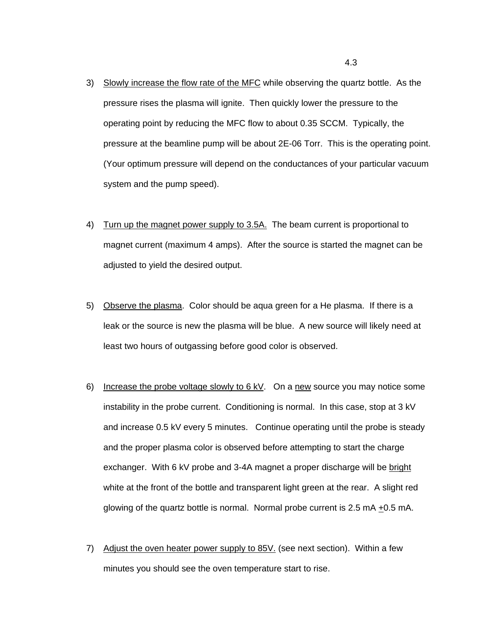- 3) Slowly increase the flow rate of the MFC while observing the quartz bottle. As the pressure rises the plasma will ignite. Then quickly lower the pressure to the operating point by reducing the MFC flow to about 0.35 SCCM. Typically, the pressure at the beamline pump will be about 2E-06 Torr. This is the operating point. (Your optimum pressure will depend on the conductances of your particular vacuum system and the pump speed).
- 4) Turn up the magnet power supply to 3.5A. The beam current is proportional to magnet current (maximum 4 amps). After the source is started the magnet can be adjusted to yield the desired output.
- 5) Observe the plasma. Color should be aqua green for a He plasma. If there is a leak or the source is new the plasma will be blue. A new source will likely need at least two hours of outgassing before good color is observed.
- 6) Increase the probe voltage slowly to  $6 kV$ . On a new source you may notice some instability in the probe current. Conditioning is normal. In this case, stop at 3 kV and increase 0.5 kV every 5 minutes. Continue operating until the probe is steady and the proper plasma color is observed before attempting to start the charge exchanger. With 6 kV probe and 3-4A magnet a proper discharge will be bright white at the front of the bottle and transparent light green at the rear. A slight red glowing of the quartz bottle is normal. Normal probe current is 2.5 mA +0.5 mA.
- 7) Adjust the oven heater power supply to 85V. (see next section). Within a few minutes you should see the oven temperature start to rise.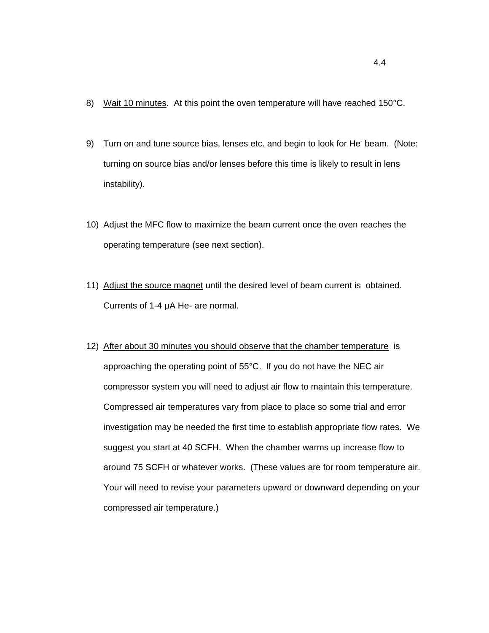- 8) Wait 10 minutes. At this point the oven temperature will have reached 150°C.
- 9) Turn on and tune source bias, lenses etc. and begin to look for He<sup>-</sup> beam. (Note: turning on source bias and/or lenses before this time is likely to result in lens instability).
- 10) Adjust the MFC flow to maximize the beam current once the oven reaches the operating temperature (see next section).
- 11) Adjust the source magnet until the desired level of beam current is obtained. Currents of 1-4  $\mu$ A He- are normal.
- 12) After about 30 minutes you should observe that the chamber temperature is approaching the operating point of 55°C. If you do not have the NEC air compressor system you will need to adjust air flow to maintain this temperature. Compressed air temperatures vary from place to place so some trial and error investigation may be needed the first time to establish appropriate flow rates. We suggest you start at 40 SCFH. When the chamber warms up increase flow to around 75 SCFH or whatever works. (These values are for room temperature air. Your will need to revise your parameters upward or downward depending on your compressed air temperature.)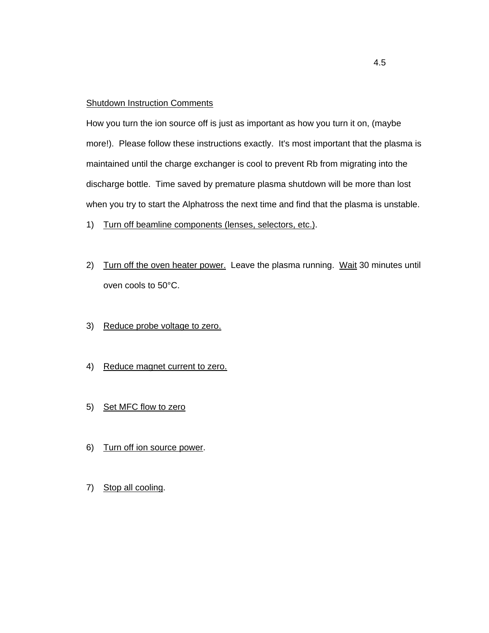### **Shutdown Instruction Comments**

How you turn the ion source off is just as important as how you turn it on, (maybe more!). Please follow these instructions exactly. It's most important that the plasma is maintained until the charge exchanger is cool to prevent Rb from migrating into the discharge bottle. Time saved by premature plasma shutdown will be more than lost when you try to start the Alphatross the next time and find that the plasma is unstable.

- 1) Turn off beamline components (lenses, selectors, etc.).
- 2) Turn off the oven heater power. Leave the plasma running. Wait 30 minutes until oven cools to 50°C.
- 3) Reduce probe voltage to zero.
- 4) Reduce magnet current to zero.
- 5) Set MFC flow to zero
- 6) Turn off ion source power.
- 7) Stop all cooling.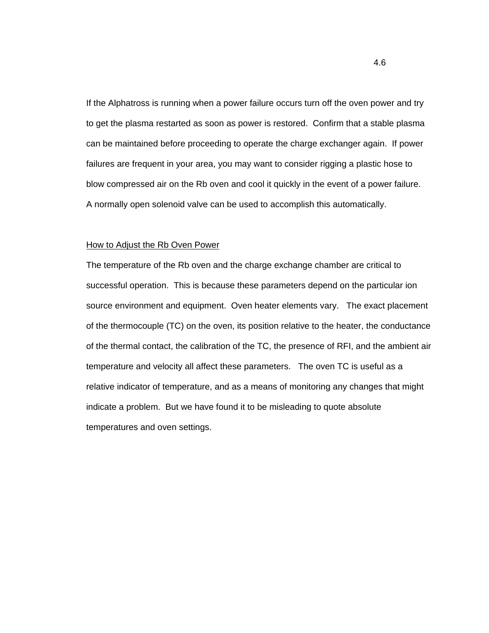If the Alphatross is running when a power failure occurs turn off the oven power and try to get the plasma restarted as soon as power is restored. Confirm that a stable plasma can be maintained before proceeding to operate the charge exchanger again. If power failures are frequent in your area, you may want to consider rigging a plastic hose to blow compressed air on the Rb oven and cool it quickly in the event of a power failure. A normally open solenoid valve can be used to accomplish this automatically.

#### How to Adjust the Rb Oven Power

The temperature of the Rb oven and the charge exchange chamber are critical to successful operation. This is because these parameters depend on the particular ion source environment and equipment. Oven heater elements vary. The exact placement of the thermocouple (TC) on the oven, its position relative to the heater, the conductance of the thermal contact, the calibration of the TC, the presence of RFI, and the ambient air temperature and velocity all affect these parameters. The oven TC is useful as a relative indicator of temperature, and as a means of monitoring any changes that might indicate a problem. But we have found it to be misleading to quote absolute temperatures and oven settings.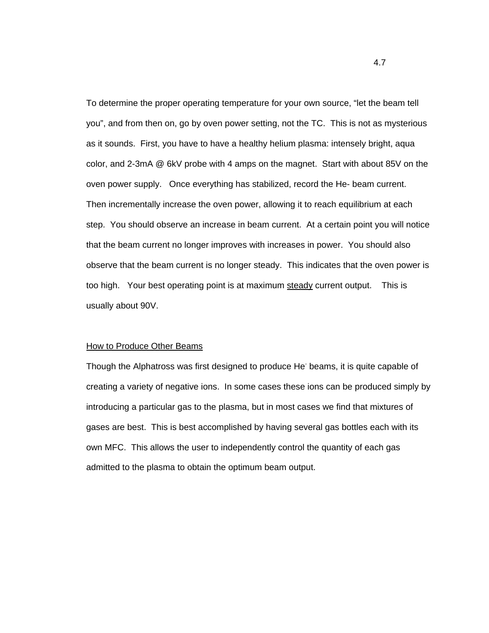To determine the proper operating temperature for your own source, "let the beam tell you", and from then on, go by oven power setting, not the TC. This is not as mysterious as it sounds. First, you have to have a healthy helium plasma: intensely bright, aqua color, and 2-3mA @ 6kV probe with 4 amps on the magnet. Start with about 85V on the oven power supply. Once everything has stabilized, record the He- beam current. Then incrementally increase the oven power, allowing it to reach equilibrium at each step. You should observe an increase in beam current. At a certain point you will notice that the beam current no longer improves with increases in power. You should also observe that the beam current is no longer steady. This indicates that the oven power is too high. Your best operating point is at maximum steady current output. This is usually about 90V.

#### How to Produce Other Beams

Though the Alphatross was first designed to produce He<sup>-</sup> beams, it is quite capable of creating a variety of negative ions. In some cases these ions can be produced simply by introducing a particular gas to the plasma, but in most cases we find that mixtures of gases are best. This is best accomplished by having several gas bottles each with its own MFC. This allows the user to independently control the quantity of each gas admitted to the plasma to obtain the optimum beam output.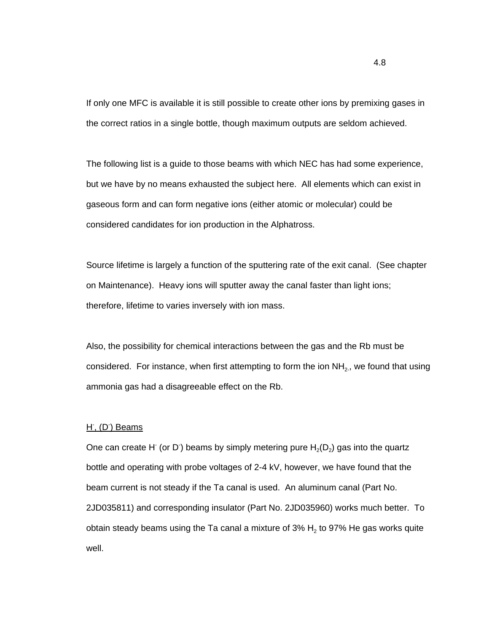If only one MFC is available it is still possible to create other ions by premixing gases in the correct ratios in a single bottle, though maximum outputs are seldom achieved.

The following list is a guide to those beams with which NEC has had some experience, but we have by no means exhausted the subject here. All elements which can exist in gaseous form and can form negative ions (either atomic or molecular) could be considered candidates for ion production in the Alphatross.

Source lifetime is largely a function of the sputtering rate of the exit canal. (See chapter on Maintenance). Heavy ions will sputter away the canal faster than light ions; therefore, lifetime to varies inversely with ion mass.

Also, the possibility for chemical interactions between the gas and the Rb must be considered. For instance, when first attempting to form the ion  $NH<sub>2</sub>$ , we found that using ammonia gas had a disagreeable effect on the Rb.

### H<sup>-</sup>, (D<sup>-</sup>) Beams

One can create H<sup>-</sup> (or D<sup>-</sup>) beams by simply metering pure  ${\sf H}_{2}({\sf D}_{2})$  gas into the quartz bottle and operating with probe voltages of 2-4 kV, however, we have found that the beam current is not steady if the Ta canal is used. An aluminum canal (Part No. 2JD035811) and corresponding insulator (Part No. 2JD035960) works much better. To obtain steady beams using the Ta canal a mixture of 3%  $H_2$  to 97% He gas works quite well.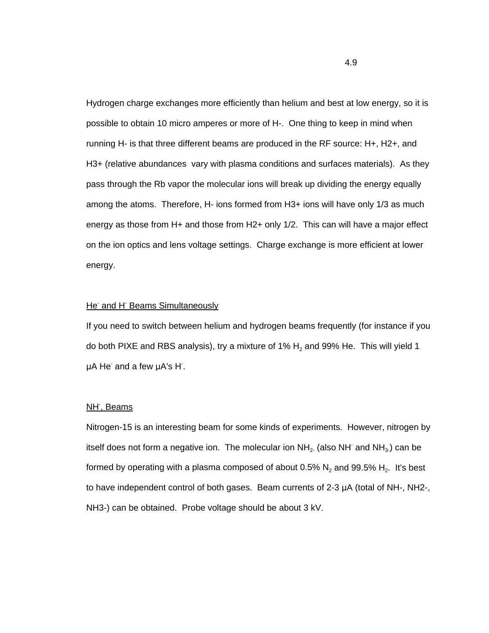Hydrogen charge exchanges more efficiently than helium and best at low energy, so it is possible to obtain 10 micro amperes or more of H-. One thing to keep in mind when running H- is that three different beams are produced in the RF source: H+, H2+, and H3+ (relative abundances vary with plasma conditions and surfaces materials). As they pass through the Rb vapor the molecular ions will break up dividing the energy equally among the atoms. Therefore, H- ions formed from H3+ ions will have only 1/3 as much energy as those from H+ and those from H2+ only 1/2. This can will have a major effect on the ion optics and lens voltage settings. Charge exchange is more efficient at lower energy.

### He and H Beams Simultaneously

If you need to switch between helium and hydrogen beams frequently (for instance if you do both PIXE and RBS analysis), try a mixture of 1%  $H_2$  and 99% He. This will yield 1 µA He and a few µA's H.

## NH<sup>-</sup>, Beams

Nitrogen-15 is an interesting beam for some kinds of experiments. However, nitrogen by itself does not form a negative ion. The molecular ion NH<sub>2</sub> (also NH<sup>-</sup> and NH<sub>3</sub>) can be formed by operating with a plasma composed of about 0.5%  $N_2$  and 99.5%  $H_2$ . It's best to have independent control of both gases. Beam currents of  $2-3 \mu A$  (total of NH-, NH2-, NH3-) can be obtained. Probe voltage should be about 3 kV.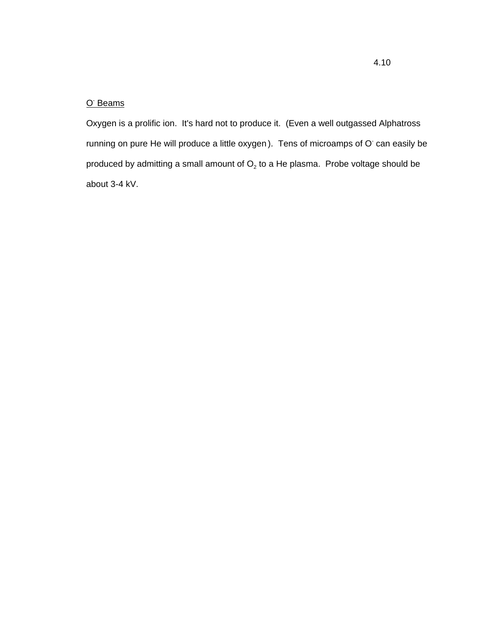### O<sup>-</sup> Beams

Oxygen is a prolific ion. It's hard not to produce it. (Even a well outgassed Alphatross running on pure He will produce a little oxygen). Tens of microamps of O can easily be produced by admitting a small amount of  $O<sub>2</sub>$  to a He plasma. Probe voltage should be about 3-4 kV.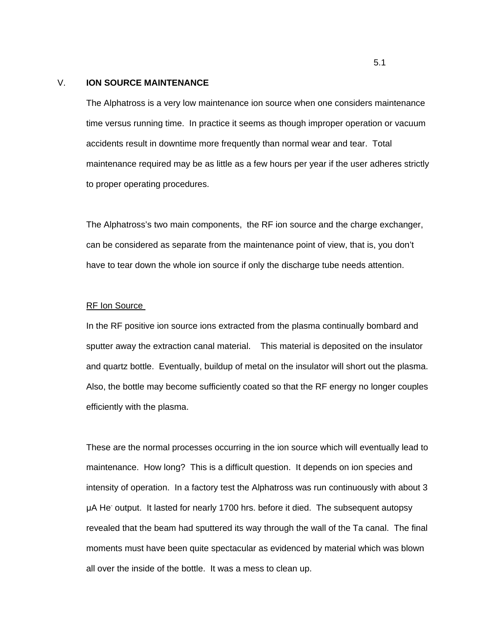## V. **ION SOURCE MAINTENANCE**

The Alphatross is a very low maintenance ion source when one considers maintenance time versus running time. In practice it seems as though improper operation or vacuum accidents result in downtime more frequently than normal wear and tear. Total maintenance required may be as little as a few hours per year if the user adheres strictly to proper operating procedures.

The Alphatross's two main components, the RF ion source and the charge exchanger, can be considered as separate from the maintenance point of view, that is, you don't have to tear down the whole ion source if only the discharge tube needs attention.

#### RF Ion Source

In the RF positive ion source ions extracted from the plasma continually bombard and sputter away the extraction canal material. This material is deposited on the insulator and quartz bottle. Eventually, buildup of metal on the insulator will short out the plasma. Also, the bottle may become sufficiently coated so that the RF energy no longer couples efficiently with the plasma.

These are the normal processes occurring in the ion source which will eventually lead to maintenance. How long? This is a difficult question. It depends on ion species and intensity of operation. In a factory test the Alphatross was run continuously with about 3 µA He<sup>-</sup> output. It lasted for nearly 1700 hrs. before it died. The subsequent autopsy revealed that the beam had sputtered its way through the wall of the Ta canal. The final moments must have been quite spectacular as evidenced by material which was blown all over the inside of the bottle. It was a mess to clean up.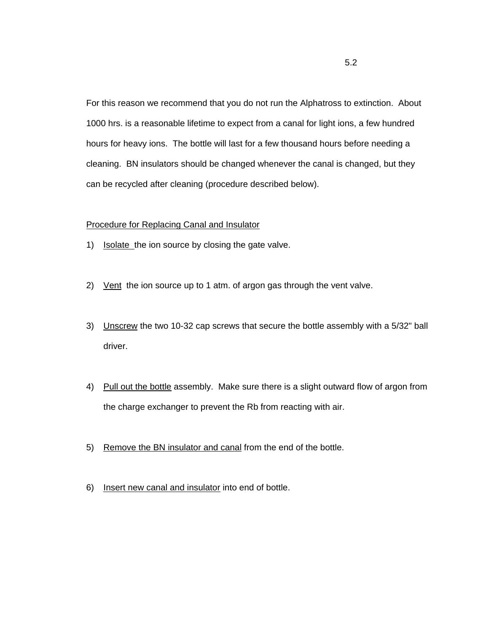For this reason we recommend that you do not run the Alphatross to extinction. About 1000 hrs. is a reasonable lifetime to expect from a canal for light ions, a few hundred hours for heavy ions. The bottle will last for a few thousand hours before needing a cleaning. BN insulators should be changed whenever the canal is changed, but they can be recycled after cleaning (procedure described below).

## Procedure for Replacing Canal and Insulator

- 1) Isolate the ion source by closing the gate valve.
- 2) Vent the ion source up to 1 atm. of argon gas through the vent valve.
- 3) Unscrew the two 10-32 cap screws that secure the bottle assembly with a 5/32" ball driver.
- 4) Pull out the bottle assembly. Make sure there is a slight outward flow of argon from the charge exchanger to prevent the Rb from reacting with air.
- 5) Remove the BN insulator and canal from the end of the bottle.
- 6) Insert new canal and insulator into end of bottle.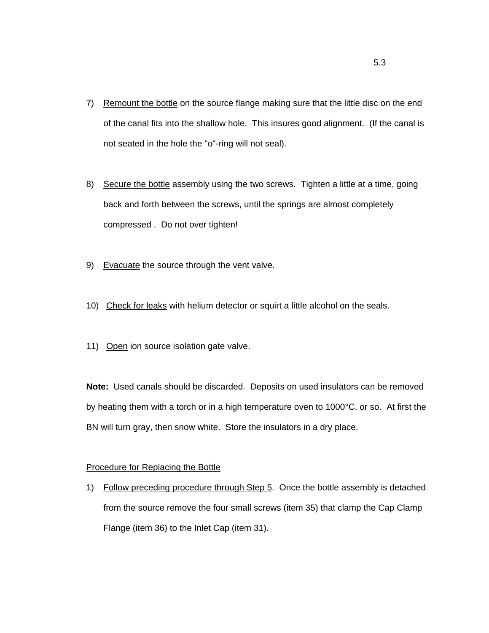- 7) Remount the bottle on the source flange making sure that the little disc on the end of the canal fits into the shallow hole. This insures good alignment. (If the canal is not seated in the hole the "o"-ring will not seal).
- 8) Secure the bottle assembly using the two screws. Tighten a little at a time, going back and forth between the screws, until the springs are almost completely compressed . Do not over tighten!
- 9) Evacuate the source through the vent valve.
- 10) Check for leaks with helium detector or squirt a little alcohol on the seals.
- 11) Open ion source isolation gate valve.

**Note:** Used canals should be discarded. Deposits on used insulators can be removed by heating them with a torch or in a high temperature oven to 1000°C. or so. At first the BN will turn gray, then snow white. Store the insulators in a dry place.

### Procedure for Replacing the Bottle

1) Follow preceding procedure through Step 5. Once the bottle assembly is detached from the source remove the four small screws (item 35) that clamp the Cap Clamp Flange (item 36) to the Inlet Cap (item 31).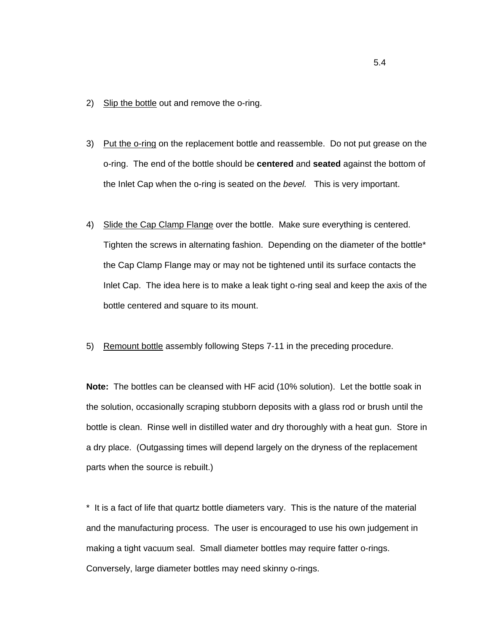- 2) Slip the bottle out and remove the o-ring.
- 3) Put the o-ring on the replacement bottle and reassemble. Do not put grease on the o-ring. The end of the bottle should be **centered** and **seated** against the bottom of the Inlet Cap when the o-ring is seated on the *bevel.* This is very important.
- 4) Slide the Cap Clamp Flange over the bottle. Make sure everything is centered. Tighten the screws in alternating fashion. Depending on the diameter of the bottle\* the Cap Clamp Flange may or may not be tightened until its surface contacts the Inlet Cap. The idea here is to make a leak tight o-ring seal and keep the axis of the bottle centered and square to its mount.
- 5) Remount bottle assembly following Steps 7-11 in the preceding procedure.

**Note:** The bottles can be cleansed with HF acid (10% solution). Let the bottle soak in the solution, occasionally scraping stubborn deposits with a glass rod or brush until the bottle is clean. Rinse well in distilled water and dry thoroughly with a heat gun. Store in a dry place. (Outgassing times will depend largely on the dryness of the replacement parts when the source is rebuilt.)

\* It is a fact of life that quartz bottle diameters vary. This is the nature of the material and the manufacturing process. The user is encouraged to use his own judgement in making a tight vacuum seal. Small diameter bottles may require fatter o-rings. Conversely, large diameter bottles may need skinny o-rings.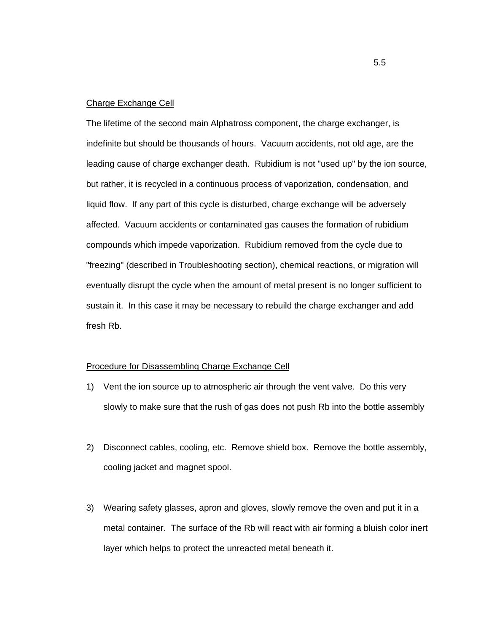#### Charge Exchange Cell

The lifetime of the second main Alphatross component, the charge exchanger, is indefinite but should be thousands of hours. Vacuum accidents, not old age, are the leading cause of charge exchanger death. Rubidium is not "used up" by the ion source, but rather, it is recycled in a continuous process of vaporization, condensation, and liquid flow. If any part of this cycle is disturbed, charge exchange will be adversely affected. Vacuum accidents or contaminated gas causes the formation of rubidium compounds which impede vaporization. Rubidium removed from the cycle due to "freezing" (described in Troubleshooting section), chemical reactions, or migration will eventually disrupt the cycle when the amount of metal present is no longer sufficient to sustain it. In this case it may be necessary to rebuild the charge exchanger and add fresh Rb.

#### Procedure for Disassembling Charge Exchange Cell

- 1) Vent the ion source up to atmospheric air through the vent valve. Do this very slowly to make sure that the rush of gas does not push Rb into the bottle assembly
- 2) Disconnect cables, cooling, etc. Remove shield box. Remove the bottle assembly, cooling jacket and magnet spool.
- 3) Wearing safety glasses, apron and gloves, slowly remove the oven and put it in a metal container. The surface of the Rb will react with air forming a bluish color inert layer which helps to protect the unreacted metal beneath it.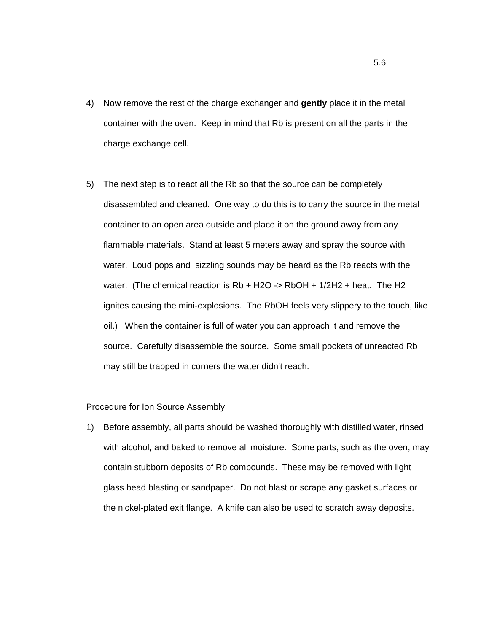- 4) Now remove the rest of the charge exchanger and **gently** place it in the metal container with the oven. Keep in mind that Rb is present on all the parts in the charge exchange cell.
- 5) The next step is to react all the Rb so that the source can be completely disassembled and cleaned. One way to do this is to carry the source in the metal container to an open area outside and place it on the ground away from any flammable materials. Stand at least 5 meters away and spray the source with water. Loud pops and sizzling sounds may be heard as the Rb reacts with the water. (The chemical reaction is Rb + H2O -> RbOH + 1/2H2 + heat. The H2 ignites causing the mini-explosions. The RbOH feels very slippery to the touch, like oil.) When the container is full of water you can approach it and remove the source. Carefully disassemble the source. Some small pockets of unreacted Rb may still be trapped in corners the water didn't reach.

#### Procedure for Ion Source Assembly

1) Before assembly, all parts should be washed thoroughly with distilled water, rinsed with alcohol, and baked to remove all moisture. Some parts, such as the oven, may contain stubborn deposits of Rb compounds. These may be removed with light glass bead blasting or sandpaper. Do not blast or scrape any gasket surfaces or the nickel-plated exit flange. A knife can also be used to scratch away deposits.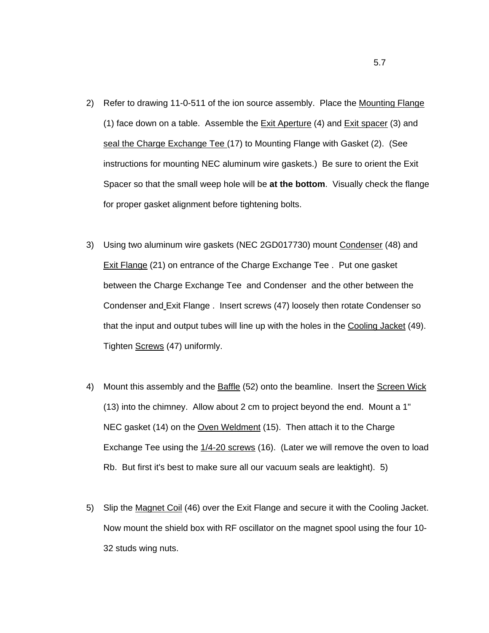- 2) Refer to drawing 11-0-511 of the ion source assembly. Place the Mounting Flange (1) face down on a table. Assemble the Exit Aperture (4) and Exit spacer (3) and seal the Charge Exchange Tee (17) to Mounting Flange with Gasket (2). (See instructions for mounting NEC aluminum wire gaskets.) Be sure to orient the Exit Spacer so that the small weep hole will be **at the bottom**. Visually check the flange for proper gasket alignment before tightening bolts.
- 3) Using two aluminum wire gaskets (NEC 2GD017730) mount Condenser (48) and Exit Flange (21) on entrance of the Charge Exchange Tee . Put one gasket between the Charge Exchange Tee and Condenser and the other between the Condenser and Exit Flange . Insert screws (47) loosely then rotate Condenser so that the input and output tubes will line up with the holes in the Cooling Jacket (49). Tighten Screws (47) uniformly.
- 4) Mount this assembly and the Baffle (52) onto the beamline. Insert the Screen Wick (13) into the chimney. Allow about 2 cm to project beyond the end. Mount a 1" NEC gasket (14) on the Oven Weldment (15). Then attach it to the Charge Exchange Tee using the 1/4-20 screws (16). (Later we will remove the oven to load Rb. But first it's best to make sure all our vacuum seals are leaktight). 5)
- 5) Slip the Magnet Coil (46) over the Exit Flange and secure it with the Cooling Jacket. Now mount the shield box with RF oscillator on the magnet spool using the four 10- 32 studs wing nuts.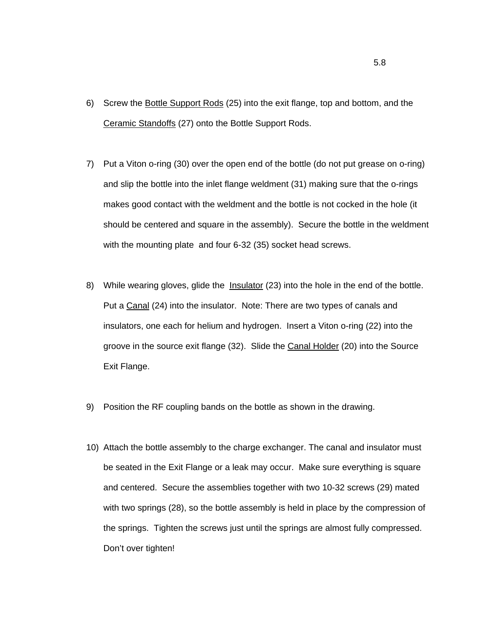- 6) Screw the Bottle Support Rods (25) into the exit flange, top and bottom, and the Ceramic Standoffs (27) onto the Bottle Support Rods.
- 7) Put a Viton o-ring (30) over the open end of the bottle (do not put grease on o-ring) and slip the bottle into the inlet flange weldment (31) making sure that the o-rings makes good contact with the weldment and the bottle is not cocked in the hole (it should be centered and square in the assembly). Secure the bottle in the weldment with the mounting plate and four 6-32 (35) socket head screws.
- 8) While wearing gloves, glide the Insulator (23) into the hole in the end of the bottle. Put a Canal (24) into the insulator. Note: There are two types of canals and insulators, one each for helium and hydrogen. Insert a Viton o-ring (22) into the groove in the source exit flange (32). Slide the Canal Holder (20) into the Source Exit Flange.
- 9) Position the RF coupling bands on the bottle as shown in the drawing.
- 10) Attach the bottle assembly to the charge exchanger. The canal and insulator must be seated in the Exit Flange or a leak may occur. Make sure everything is square and centered. Secure the assemblies together with two 10-32 screws (29) mated with two springs (28), so the bottle assembly is held in place by the compression of the springs. Tighten the screws just until the springs are almost fully compressed. Don't over tighten!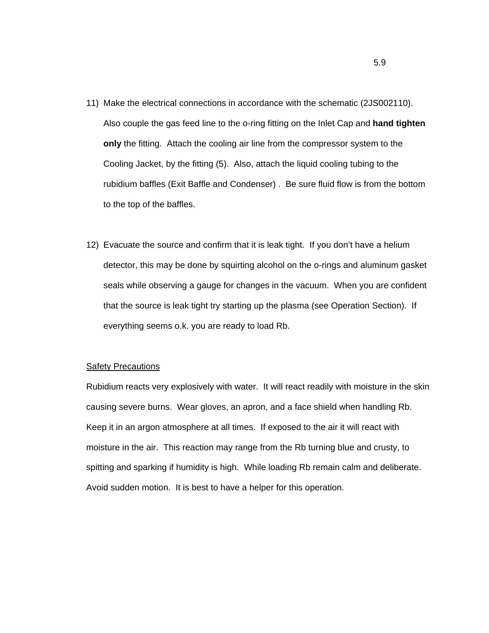- 11) Make the electrical connections in accordance with the schematic (2JS002110). Also couple the gas feed line to the o-ring fitting on the Inlet Cap and **hand tighten only** the fitting. Attach the cooling air line from the compressor system to the Cooling Jacket, by the fitting (5). Also, attach the liquid cooling tubing to the rubidium baffles (Exit Baffle and Condenser) . Be sure fluid flow is from the bottom to the top of the baffles.
- 12) Evacuate the source and confirm that it is leak tight. If you don't have a helium detector, this may be done by squirting alcohol on the o-rings and aluminum gasket seals while observing a gauge for changes in the vacuum. When you are confident that the source is leak tight try starting up the plasma (see Operation Section). If everything seems o.k. you are ready to load Rb.

#### **Safety Precautions**

Rubidium reacts very explosively with water. It will react readily with moisture in the skin causing severe burns. Wear gloves, an apron, and a face shield when handling Rb. Keep it in an argon atmosphere at all times. If exposed to the air it will react with moisture in the air. This reaction may range from the Rb turning blue and crusty, to spitting and sparking if humidity is high. While loading Rb remain calm and deliberate. Avoid sudden motion. It is best to have a helper for this operation.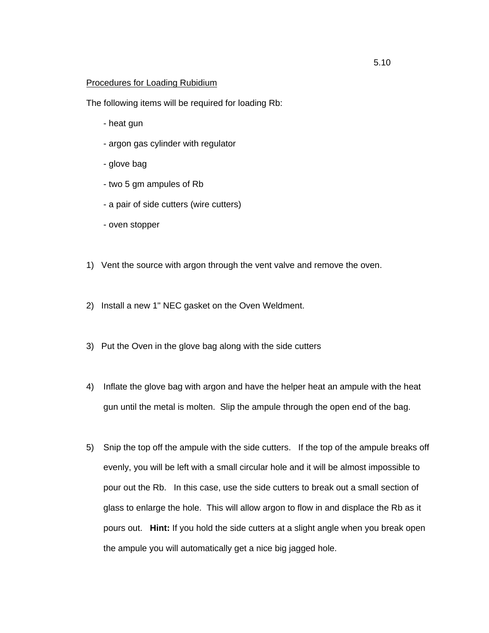### Procedures for Loading Rubidium

The following items will be required for loading Rb:

- heat gun
- argon gas cylinder with regulator
- glove bag
- two 5 gm ampules of Rb
- a pair of side cutters (wire cutters)
- oven stopper
- 1) Vent the source with argon through the vent valve and remove the oven.
- 2) Install a new 1" NEC gasket on the Oven Weldment.
- 3) Put the Oven in the glove bag along with the side cutters
- 4) Inflate the glove bag with argon and have the helper heat an ampule with the heat gun until the metal is molten. Slip the ampule through the open end of the bag.
- 5) Snip the top off the ampule with the side cutters. If the top of the ampule breaks off evenly, you will be left with a small circular hole and it will be almost impossible to pour out the Rb. In this case, use the side cutters to break out a small section of glass to enlarge the hole. This will allow argon to flow in and displace the Rb as it pours out. **Hint:** If you hold the side cutters at a slight angle when you break open the ampule you will automatically get a nice big jagged hole.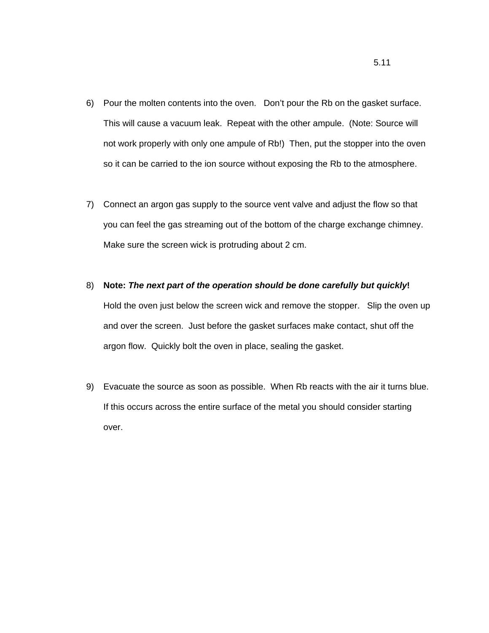- 6) Pour the molten contents into the oven. Don't pour the Rb on the gasket surface. This will cause a vacuum leak. Repeat with the other ampule. (Note: Source will not work properly with only one ampule of Rb!) Then, put the stopper into the oven so it can be carried to the ion source without exposing the Rb to the atmosphere.
- 7) Connect an argon gas supply to the source vent valve and adjust the flow so that you can feel the gas streaming out of the bottom of the charge exchange chimney. Make sure the screen wick is protruding about 2 cm.
- 8) **Note:** *The next part of the operation should be done carefully but quickly***!** Hold the oven just below the screen wick and remove the stopper. Slip the oven up and over the screen. Just before the gasket surfaces make contact, shut off the argon flow. Quickly bolt the oven in place, sealing the gasket.
- 9) Evacuate the source as soon as possible. When Rb reacts with the air it turns blue. If this occurs across the entire surface of the metal you should consider starting over.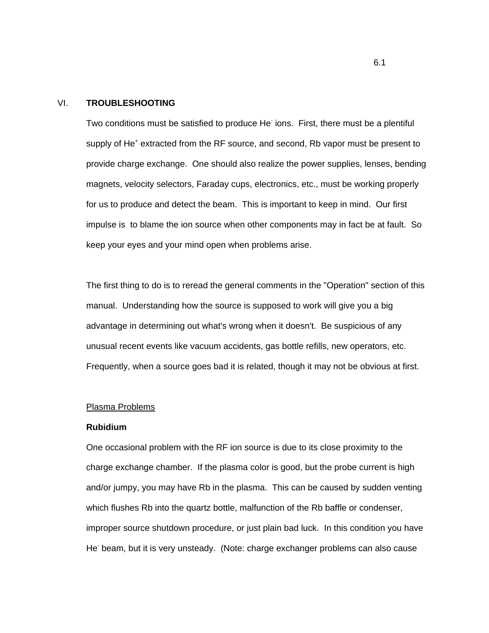#### VI. **TROUBLESHOOTING**

Two conditions must be satisfied to produce He ions. First, there must be a plentiful supply of He<sup>+</sup> extracted from the RF source, and second, Rb vapor must be present to provide charge exchange. One should also realize the power supplies, lenses, bending magnets, velocity selectors, Faraday cups, electronics, etc., must be working properly for us to produce and detect the beam. This is important to keep in mind. Our first impulse is to blame the ion source when other components may in fact be at fault. So keep your eyes and your mind open when problems arise.

The first thing to do is to reread the general comments in the "Operation" section of this manual. Understanding how the source is supposed to work will give you a big advantage in determining out what's wrong when it doesn't. Be suspicious of any unusual recent events like vacuum accidents, gas bottle refills, new operators, etc. Frequently, when a source goes bad it is related, though it may not be obvious at first.

#### Plasma Problems

#### **Rubidium**

One occasional problem with the RF ion source is due to its close proximity to the charge exchange chamber. If the plasma color is good, but the probe current is high and/or jumpy, you may have Rb in the plasma. This can be caused by sudden venting which flushes Rb into the quartz bottle, malfunction of the Rb baffle or condenser, improper source shutdown procedure, or just plain bad luck. In this condition you have He<sup>-</sup> beam, but it is very unsteady. (Note: charge exchanger problems can also cause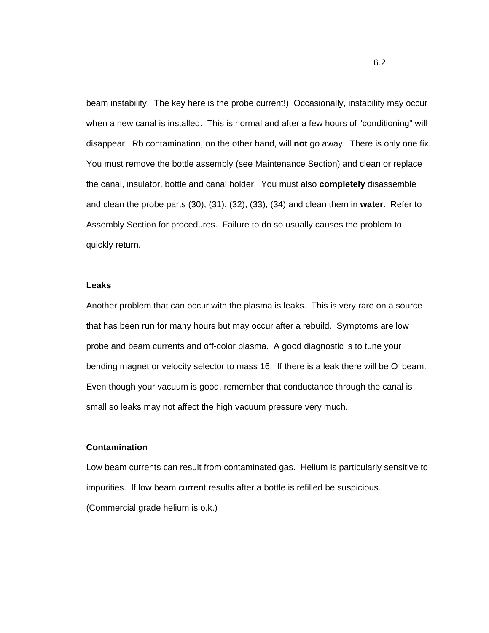beam instability. The key here is the probe current!) Occasionally, instability may occur when a new canal is installed. This is normal and after a few hours of "conditioning" will disappear. Rb contamination, on the other hand, will **not** go away. There is only one fix. You must remove the bottle assembly (see Maintenance Section) and clean or replace the canal, insulator, bottle and canal holder. You must also **completely** disassemble and clean the probe parts (30), (31), (32), (33), (34) and clean them in **water**. Refer to Assembly Section for procedures. Failure to do so usually causes the problem to quickly return.

#### **Leaks**

Another problem that can occur with the plasma is leaks. This is very rare on a source that has been run for many hours but may occur after a rebuild. Symptoms are low probe and beam currents and off-color plasma. A good diagnostic is to tune your bending magnet or velocity selector to mass 16. If there is a leak there will be O beam. Even though your vacuum is good, remember that conductance through the canal is small so leaks may not affect the high vacuum pressure very much.

### **Contamination**

Low beam currents can result from contaminated gas. Helium is particularly sensitive to impurities. If low beam current results after a bottle is refilled be suspicious. (Commercial grade helium is o.k.)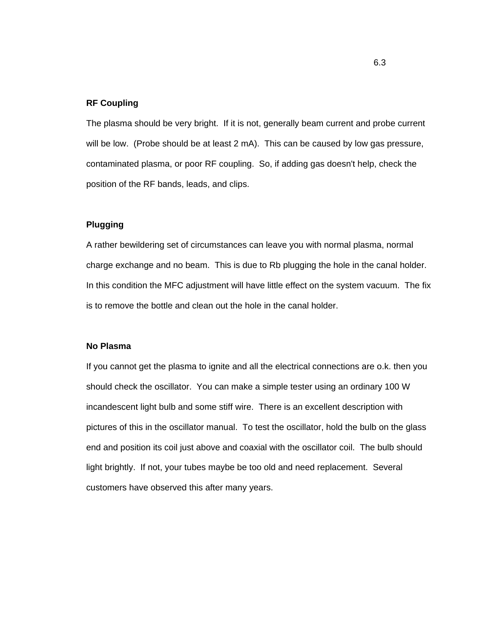### **RF Coupling**

The plasma should be very bright. If it is not, generally beam current and probe current will be low. (Probe should be at least 2 mA). This can be caused by low gas pressure, contaminated plasma, or poor RF coupling. So, if adding gas doesn't help, check the position of the RF bands, leads, and clips.

## **Plugging**

A rather bewildering set of circumstances can leave you with normal plasma, normal charge exchange and no beam. This is due to Rb plugging the hole in the canal holder. In this condition the MFC adjustment will have little effect on the system vacuum. The fix is to remove the bottle and clean out the hole in the canal holder.

## **No Plasma**

If you cannot get the plasma to ignite and all the electrical connections are o.k. then you should check the oscillator. You can make a simple tester using an ordinary 100 W incandescent light bulb and some stiff wire. There is an excellent description with pictures of this in the oscillator manual. To test the oscillator, hold the bulb on the glass end and position its coil just above and coaxial with the oscillator coil. The bulb should light brightly. If not, your tubes maybe be too old and need replacement. Several customers have observed this after many years.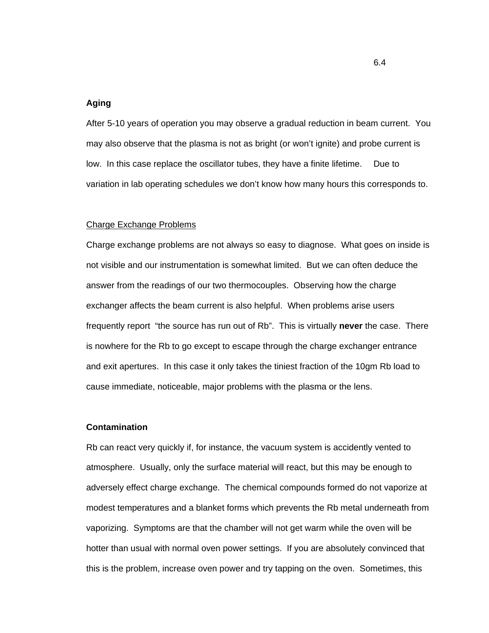#### **Aging**

After 5-10 years of operation you may observe a gradual reduction in beam current. You may also observe that the plasma is not as bright (or won't ignite) and probe current is low. In this case replace the oscillator tubes, they have a finite lifetime. Due to variation in lab operating schedules we don't know how many hours this corresponds to.

#### Charge Exchange Problems

Charge exchange problems are not always so easy to diagnose. What goes on inside is not visible and our instrumentation is somewhat limited. But we can often deduce the answer from the readings of our two thermocouples. Observing how the charge exchanger affects the beam current is also helpful. When problems arise users frequently report "the source has run out of Rb". This is virtually **never** the case. There is nowhere for the Rb to go except to escape through the charge exchanger entrance and exit apertures. In this case it only takes the tiniest fraction of the 10gm Rb load to cause immediate, noticeable, major problems with the plasma or the lens.

#### **Contamination**

Rb can react very quickly if, for instance, the vacuum system is accidently vented to atmosphere. Usually, only the surface material will react, but this may be enough to adversely effect charge exchange. The chemical compounds formed do not vaporize at modest temperatures and a blanket forms which prevents the Rb metal underneath from vaporizing. Symptoms are that the chamber will not get warm while the oven will be hotter than usual with normal oven power settings. If you are absolutely convinced that this is the problem, increase oven power and try tapping on the oven. Sometimes, this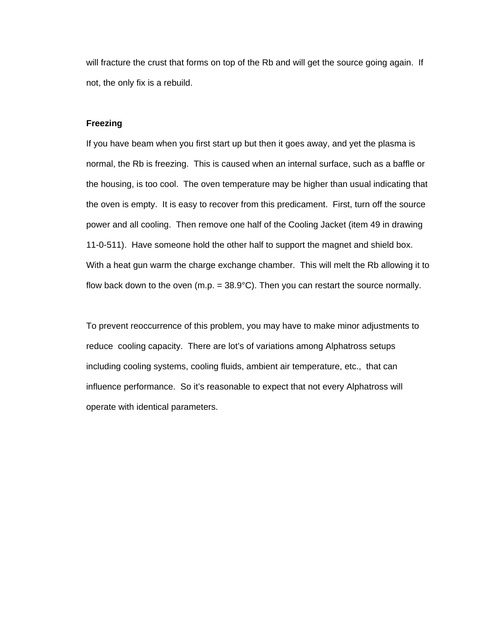will fracture the crust that forms on top of the Rb and will get the source going again. If not, the only fix is a rebuild.

### **Freezing**

If you have beam when you first start up but then it goes away, and yet the plasma is normal, the Rb is freezing. This is caused when an internal surface, such as a baffle or the housing, is too cool. The oven temperature may be higher than usual indicating that the oven is empty. It is easy to recover from this predicament. First, turn off the source power and all cooling. Then remove one half of the Cooling Jacket (item 49 in drawing 11-0-511). Have someone hold the other half to support the magnet and shield box. With a heat gun warm the charge exchange chamber. This will melt the Rb allowing it to flow back down to the oven  $(m.p. = 38.9^{\circ}C)$ . Then you can restart the source normally.

To prevent reoccurrence of this problem, you may have to make minor adjustments to reduce cooling capacity. There are lot's of variations among Alphatross setups including cooling systems, cooling fluids, ambient air temperature, etc., that can influence performance. So it's reasonable to expect that not every Alphatross will operate with identical parameters.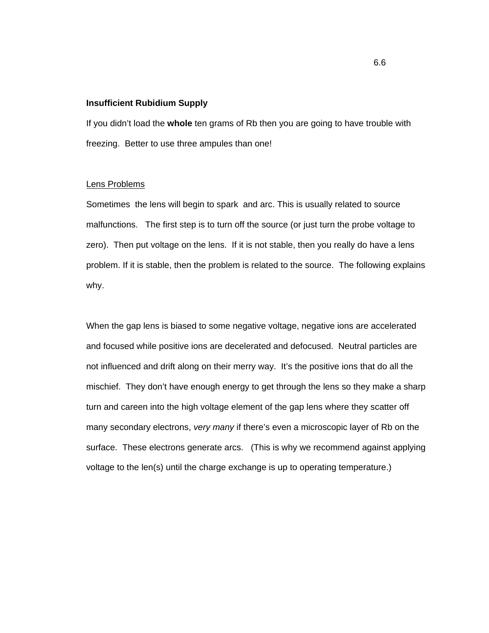#### **Insufficient Rubidium Supply**

If you didn't load the **whole** ten grams of Rb then you are going to have trouble with freezing. Better to use three ampules than one!

### Lens Problems

Sometimes the lens will begin to spark and arc. This is usually related to source malfunctions. The first step is to turn off the source (or just turn the probe voltage to zero). Then put voltage on the lens. If it is not stable, then you really do have a lens problem. If it is stable, then the problem is related to the source. The following explains why.

When the gap lens is biased to some negative voltage, negative ions are accelerated and focused while positive ions are decelerated and defocused. Neutral particles are not influenced and drift along on their merry way. It's the positive ions that do all the mischief. They don't have enough energy to get through the lens so they make a sharp turn and careen into the high voltage element of the gap lens where they scatter off many secondary electrons, *very many* if there's even a microscopic layer of Rb on the surface. These electrons generate arcs. (This is why we recommend against applying voltage to the len(s) until the charge exchange is up to operating temperature.)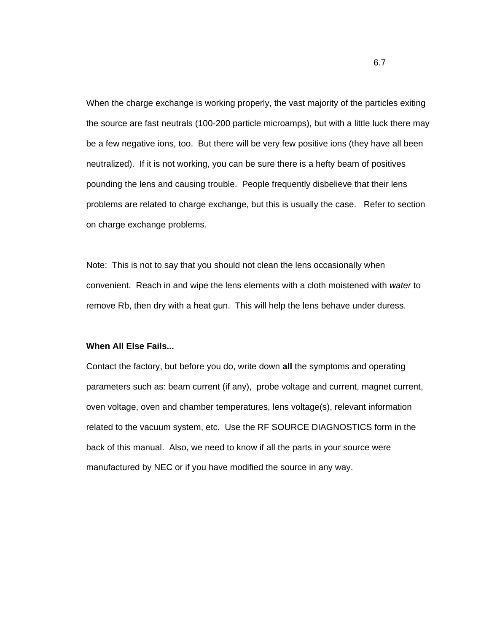When the charge exchange is working properly, the vast majority of the particles exiting the source are fast neutrals (100-200 particle microamps), but with a little luck there may be a few negative ions, too. But there will be very few positive ions (they have all been neutralized). If it is not working, you can be sure there is a hefty beam of positives pounding the lens and causing trouble. People frequently disbelieve that their lens problems are related to charge exchange, but this is usually the case. Refer to section on charge exchange problems.

Note: This is not to say that you should not clean the lens occasionally when convenient. Reach in and wipe the lens elements with a cloth moistened with *water* to remove Rb, then dry with a heat gun. This will help the lens behave under duress.

#### **When All Else Fails...**

Contact the factory, but before you do, write down **all** the symptoms and operating parameters such as: beam current (if any), probe voltage and current, magnet current, oven voltage, oven and chamber temperatures, lens voltage(s), relevant information related to the vacuum system, etc. Use the RF SOURCE DIAGNOSTICS form in the back of this manual. Also, we need to know if all the parts in your source were manufactured by NEC or if you have modified the source in any way.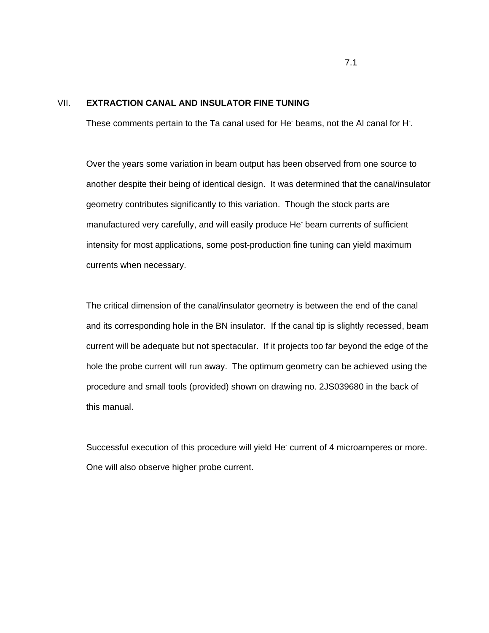## VII. **EXTRACTION CANAL AND INSULATOR FINE TUNING**

These comments pertain to the Ta canal used for He<sup>-</sup> beams, not the Al canal for H<sup>-</sup>.

Over the years some variation in beam output has been observed from one source to another despite their being of identical design. It was determined that the canal/insulator geometry contributes significantly to this variation. Though the stock parts are manufactured very carefully, and will easily produce He**-** beam currents of sufficient intensity for most applications, some post-production fine tuning can yield maximum currents when necessary.

The critical dimension of the canal/insulator geometry is between the end of the canal and its corresponding hole in the BN insulator. If the canal tip is slightly recessed, beam current will be adequate but not spectacular. If it projects too far beyond the edge of the hole the probe current will run away. The optimum geometry can be achieved using the procedure and small tools (provided) shown on drawing no. 2JS039680 in the back of this manual.

Successful execution of this procedure will yield He**-** current of 4 microamperes or more. One will also observe higher probe current.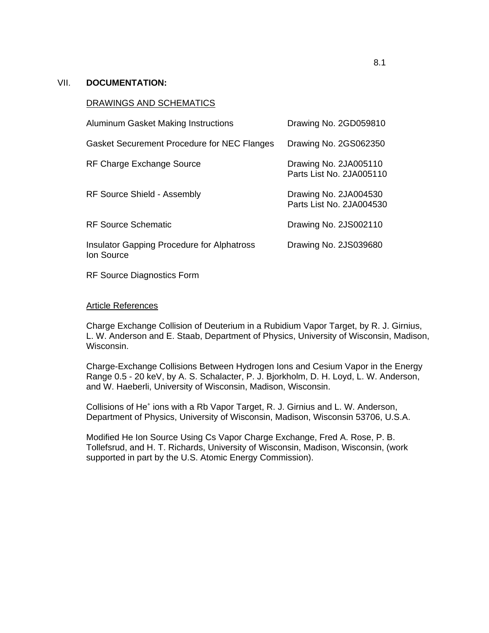## VII. **DOCUMENTATION:**

#### DRAWINGS AND SCHEMATICS

| <b>Aluminum Gasket Making Instructions</b>                      | Drawing No. 2GD059810                             |
|-----------------------------------------------------------------|---------------------------------------------------|
| <b>Gasket Securement Procedure for NEC Flanges</b>              | Drawing No. 2GS062350                             |
| RF Charge Exchange Source                                       | Drawing No. 2JA005110<br>Parts List No. 2JA005110 |
| <b>RF Source Shield - Assembly</b>                              | Drawing No. 2JA004530<br>Parts List No. 2JA004530 |
| <b>RF Source Schematic</b>                                      | Drawing No. 2JS002110                             |
| <b>Insulator Gapping Procedure for Alphatross</b><br>Ion Source | Drawing No. 2JS039680                             |

RF Source Diagnostics Form

### Article References

Charge Exchange Collision of Deuterium in a Rubidium Vapor Target, by R. J. Girnius, L. W. Anderson and E. Staab, Department of Physics, University of Wisconsin, Madison, Wisconsin.

Charge-Exchange Collisions Between Hydrogen Ions and Cesium Vapor in the Energy Range 0.5 - 20 keV, by A. S. Schalacter, P. J. Bjorkholm, D. H. Loyd, L. W. Anderson, and W. Haeberli, University of Wisconsin, Madison, Wisconsin.

Collisions of He<sup>+</sup> ions with a Rb Vapor Target, R. J. Girnius and L. W. Anderson, Department of Physics, University of Wisconsin, Madison, Wisconsin 53706, U.S.A.

Modified He Ion Source Using Cs Vapor Charge Exchange, Fred A. Rose, P. B. Tollefsrud, and H. T. Richards, University of Wisconsin, Madison, Wisconsin, (work supported in part by the U.S. Atomic Energy Commission).